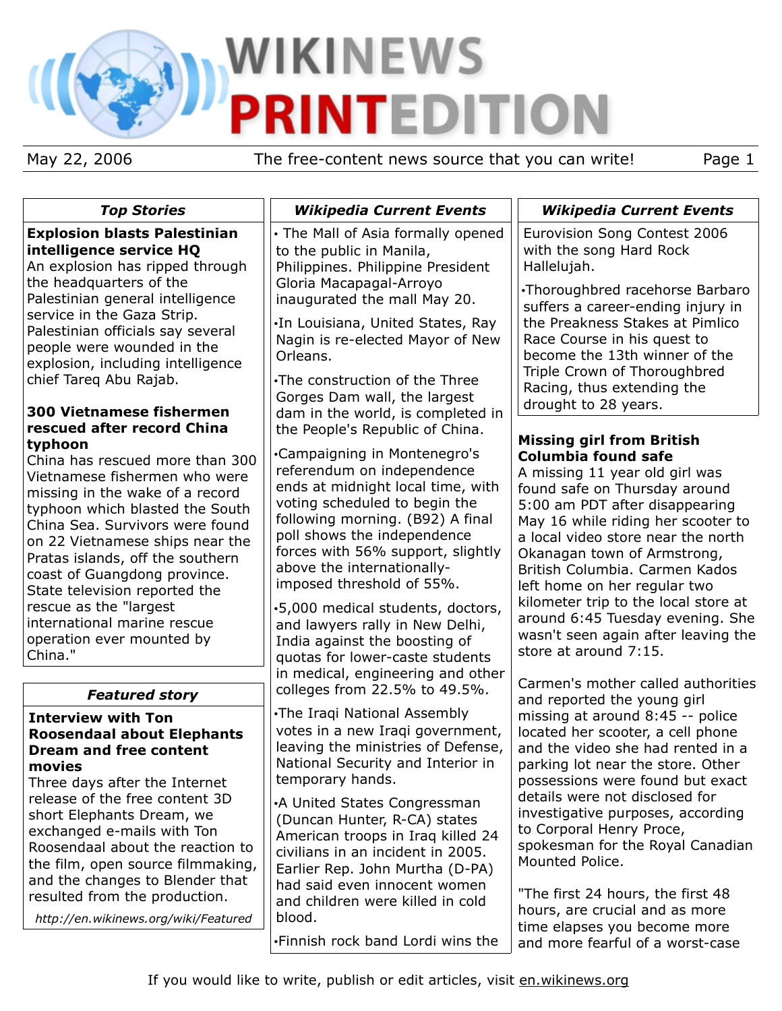# **WIKINEWS TEDITION** P

May 22, 2006 The free-content news source that you can write! Page 1

| <b>Top Stories</b>                                                                                                                                                                                                                                                                                                                                                                                                                                           | <b>Wikipedia Current Events</b>                                                                                                                                                                                                                                                                                                                                                                                                                                                    | <b>Wikipedia Current Events</b>                                                                                                                                                                                                                                                                                                                                                                                                                                                              |
|--------------------------------------------------------------------------------------------------------------------------------------------------------------------------------------------------------------------------------------------------------------------------------------------------------------------------------------------------------------------------------------------------------------------------------------------------------------|------------------------------------------------------------------------------------------------------------------------------------------------------------------------------------------------------------------------------------------------------------------------------------------------------------------------------------------------------------------------------------------------------------------------------------------------------------------------------------|----------------------------------------------------------------------------------------------------------------------------------------------------------------------------------------------------------------------------------------------------------------------------------------------------------------------------------------------------------------------------------------------------------------------------------------------------------------------------------------------|
| <b>Explosion blasts Palestinian</b><br>intelligence service HQ<br>An explosion has ripped through                                                                                                                                                                                                                                                                                                                                                            | • The Mall of Asia formally opened<br>to the public in Manila,<br>Philippines. Philippine President                                                                                                                                                                                                                                                                                                                                                                                | Eurovision Song Contest 2006<br>with the song Hard Rock<br>Hallelujah.                                                                                                                                                                                                                                                                                                                                                                                                                       |
| the headquarters of the<br>Palestinian general intelligence<br>service in the Gaza Strip.<br>Palestinian officials say several<br>people were wounded in the<br>explosion, including intelligence<br>chief Tareq Abu Rajab.                                                                                                                                                                                                                                  | Gloria Macapagal-Arroyo<br>inaugurated the mall May 20.<br>.In Louisiana, United States, Ray<br>Nagin is re-elected Mayor of New<br>Orleans.<br>•The construction of the Three                                                                                                                                                                                                                                                                                                     | •Thoroughbred racehorse Barbaro<br>suffers a career-ending injury in<br>the Preakness Stakes at Pimlico<br>Race Course in his quest to<br>become the 13th winner of the<br>Triple Crown of Thoroughbred<br>Racing, thus extending the                                                                                                                                                                                                                                                        |
| <b>300 Vietnamese fishermen</b>                                                                                                                                                                                                                                                                                                                                                                                                                              | Gorges Dam wall, the largest<br>dam in the world, is completed in                                                                                                                                                                                                                                                                                                                                                                                                                  | drought to 28 years.                                                                                                                                                                                                                                                                                                                                                                                                                                                                         |
| rescued after record China<br>typhoon<br>China has rescued more than 300<br>Vietnamese fishermen who were<br>missing in the wake of a record<br>typhoon which blasted the South<br>China Sea. Survivors were found<br>on 22 Vietnamese ships near the<br>Pratas islands, off the southern<br>coast of Guangdong province.<br>State television reported the<br>rescue as the "largest"<br>international marine rescue<br>operation ever mounted by<br>China." | the People's Republic of China.<br>•Campaigning in Montenegro's<br>referendum on independence<br>ends at midnight local time, with<br>voting scheduled to begin the<br>following morning. (B92) A final<br>poll shows the independence<br>forces with 56% support, slightly<br>above the internationally-<br>imposed threshold of 55%.<br>⋅5,000 medical students, doctors,<br>and lawyers rally in New Delhi,<br>India against the boosting of<br>quotas for lower-caste students | <b>Missing girl from British</b><br><b>Columbia found safe</b><br>A missing 11 year old girl was<br>found safe on Thursday around<br>5:00 am PDT after disappearing<br>May 16 while riding her scooter to<br>a local video store near the north<br>Okanagan town of Armstrong,<br>British Columbia. Carmen Kados<br>left home on her regular two<br>kilometer trip to the local store at<br>around 6:45 Tuesday evening. She<br>wasn't seen again after leaving the<br>store at around 7:15. |
| <b>Featured story</b>                                                                                                                                                                                                                                                                                                                                                                                                                                        | in medical, engineering and other<br>colleges from 22.5% to 49.5%.                                                                                                                                                                                                                                                                                                                                                                                                                 | Carmen's mother called authorities                                                                                                                                                                                                                                                                                                                                                                                                                                                           |
| <b>Interview with Ton</b><br><b>Roosendaal about Elephants</b><br><b>Dream and free content</b><br>movies<br>Three days after the Internet<br>release of the free content 3D<br>short Elephants Dream, we<br>exchanged e-mails with Ton<br>Roosendaal about the reaction to<br>the film, open source filmmaking,<br>and the changes to Blender that                                                                                                          | •The Iraqi National Assembly<br>votes in a new Iraqi government,<br>leaving the ministries of Defense,<br>National Security and Interior in<br>temporary hands.<br>•A United States Congressman<br>(Duncan Hunter, R-CA) states<br>American troops in Iraq killed 24<br>civilians in an incident in 2005.<br>Earlier Rep. John Murtha (D-PA)                                                                                                                                       | and reported the young girl<br>missing at around 8:45 -- police<br>located her scooter, a cell phone<br>and the video she had rented in a<br>parking lot near the store. Other<br>possessions were found but exact<br>details were not disclosed for<br>investigative purposes, according<br>to Corporal Henry Proce,<br>spokesman for the Royal Canadian<br>Mounted Police.                                                                                                                 |
| resulted from the production.<br>http://en.wikinews.org/wiki/Featured                                                                                                                                                                                                                                                                                                                                                                                        | had said even innocent women<br>and children were killed in cold<br>blood.<br>.Finnish rock band Lordi wins the                                                                                                                                                                                                                                                                                                                                                                    | "The first 24 hours, the first 48<br>hours, are crucial and as more<br>time elapses you become more<br>and more fearful of a worst-case                                                                                                                                                                                                                                                                                                                                                      |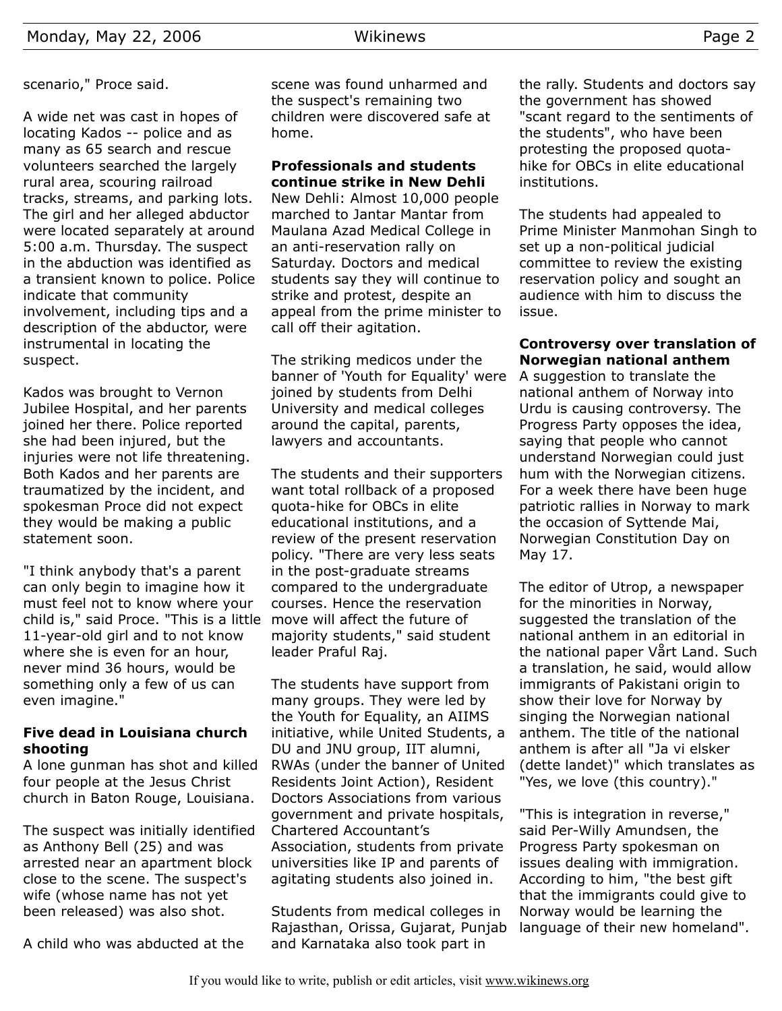scenario," Proce said.

A wide net was cast in hopes of locating Kados -- police and as many as 65 search and rescue volunteers searched the largely rural area, scouring railroad tracks, streams, and parking lots. The girl and her alleged abductor were located separately at around 5:00 a.m. Thursday. The suspect in the abduction was identified as a transient known to police. Police indicate that community involvement, including tips and a description of the abductor, were instrumental in locating the suspect.

Kados was brought to Vernon Jubilee Hospital, and her parents joined her there. Police reported she had been injured, but the injuries were not life threatening. Both Kados and her parents are traumatized by the incident, and spokesman Proce did not expect they would be making a public statement soon.

"I think anybody that's a parent can only begin to imagine how it must feel not to know where your child is," said Proce. "This is a little 11-year-old girl and to not know where she is even for an hour, never mind 36 hours, would be something only a few of us can even imagine."

## **Five dead in Louisiana church shooting**

A lone gunman has shot and killed four people at the Jesus Christ church in Baton Rouge, Louisiana.

The suspect was initially identified as Anthony Bell (25) and was arrested near an apartment block close to the scene. The suspect's wife (whose name has not yet been released) was also shot.

A child who was abducted at the

scene was found unharmed and the suspect's remaining two children were discovered safe at home.

## **Professionals and students continue strike in New Dehli**

New Dehli: Almost 10,000 people marched to Jantar Mantar from Maulana Azad Medical College in an anti-reservation rally on Saturday. Doctors and medical students say they will continue to strike and protest, despite an appeal from the prime minister to call off their agitation.

The striking medicos under the banner of 'Youth for Equality' were joined by students from Delhi University and medical colleges around the capital, parents, lawyers and accountants.

The students and their supporters want total rollback of a proposed quota-hike for OBCs in elite educational institutions, and a review of the present reservation policy. "There are very less seats in the post-graduate streams compared to the undergraduate courses. Hence the reservation move will affect the future of majority students," said student leader Praful Raj.

The students have support from many groups. They were led by the Youth for Equality, an AIIMS initiative, while United Students, a DU and JNU group, IIT alumni, RWAs (under the banner of United Residents Joint Action), Resident Doctors Associations from various government and private hospitals, Chartered Accountant's Association, students from private universities like IP and parents of agitating students also joined in.

Students from medical colleges in Rajasthan, Orissa, Gujarat, Punjab and Karnataka also took part in

the rally. Students and doctors say the government has showed "scant regard to the sentiments of the students", who have been protesting the proposed quotahike for OBCs in elite educational institutions.

The students had appealed to Prime Minister Manmohan Singh to set up a non-political judicial committee to review the existing reservation policy and sought an audience with him to discuss the issue.

## **Controversy over translation of Norwegian national anthem**

A suggestion to translate the national anthem of Norway into Urdu is causing controversy. The Progress Party opposes the idea, saying that people who cannot understand Norwegian could just hum with the Norwegian citizens. For a week there have been huge patriotic rallies in Norway to mark the occasion of Syttende Mai, Norwegian Constitution Day on May 17.

The editor of Utrop, a newspaper for the minorities in Norway, suggested the translation of the national anthem in an editorial in the national paper Vårt Land. Such a translation, he said, would allow immigrants of Pakistani origin to show their love for Norway by singing the Norwegian national anthem. The title of the national anthem is after all "Ja vi elsker (dette landet)" which translates as "Yes, we love (this country)."

"This is integration in reverse," said Per-Willy Amundsen, the Progress Party spokesman on issues dealing with immigration. According to him, "the best gift that the immigrants could give to Norway would be learning the language of their new homeland".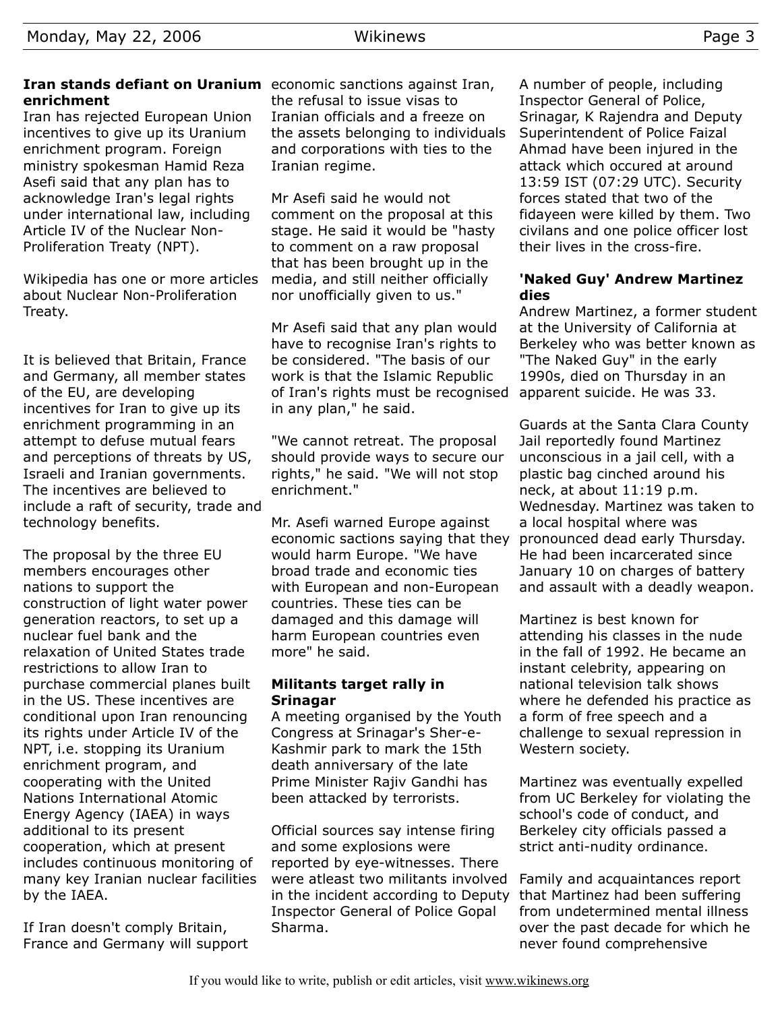## **Iran stands defiant on Uranium** economic sanctions against Iran, **enrichment**

Iran has rejected European Union incentives to give up its Uranium enrichment program. Foreign ministry spokesman Hamid Reza Asefi said that any plan has to acknowledge Iran's legal rights under international law, including Article IV of the Nuclear Non-Proliferation Treaty (NPT).

Wikipedia has one or more articles about Nuclear Non-Proliferation Treaty.

It is believed that Britain, France and Germany, all member states of the EU, are developing incentives for Iran to give up its enrichment programming in an attempt to defuse mutual fears and perceptions of threats by US, Israeli and Iranian governments. The incentives are believed to include a raft of security, trade and technology benefits.

The proposal by the three EU members encourages other nations to support the construction of light water power generation reactors, to set up a nuclear fuel bank and the relaxation of United States trade restrictions to allow Iran to purchase commercial planes built in the US. These incentives are conditional upon Iran renouncing its rights under Article IV of the NPT, i.e. stopping its Uranium enrichment program, and cooperating with the United Nations International Atomic Energy Agency (IAEA) in ways additional to its present cooperation, which at present includes continuous monitoring of many key Iranian nuclear facilities by the IAEA.

If Iran doesn't comply Britain, France and Germany will support the refusal to issue visas to Iranian officials and a freeze on the assets belonging to individuals and corporations with ties to the Iranian regime.

Mr Asefi said he would not comment on the proposal at this stage. He said it would be "hasty to comment on a raw proposal that has been brought up in the media, and still neither officially nor unofficially given to us."

Mr Asefi said that any plan would have to recognise Iran's rights to be considered. "The basis of our work is that the Islamic Republic of Iran's rights must be recognised in any plan," he said.

"We cannot retreat. The proposal should provide ways to secure our rights," he said. "We will not stop enrichment."

Mr. Asefi warned Europe against economic sactions saying that they would harm Europe. "We have broad trade and economic ties with European and non-European countries. These ties can be damaged and this damage will harm European countries even more" he said.

## **Militants target rally in Srinagar**

A meeting organised by the Youth Congress at Srinagar's Sher-e-Kashmir park to mark the 15th death anniversary of the late Prime Minister Rajiv Gandhi has been attacked by terrorists.

Official sources say intense firing and some explosions were reported by eye-witnesses. There were atleast two militants involved in the incident according to Deputy Inspector General of Police Gopal Sharma.

A number of people, including Inspector General of Police, Srinagar, K Rajendra and Deputy Superintendent of Police Faizal Ahmad have been injured in the attack which occured at around 13:59 IST (07:29 UTC). Security forces stated that two of the fidayeen were killed by them. Two civilans and one police officer lost their lives in the cross-fire.

## **'Naked Guy' Andrew Martinez dies**

Andrew Martinez, a former student at the University of California at Berkeley who was better known as "The Naked Guy" in the early 1990s, died on Thursday in an apparent suicide. He was 33.

Guards at the Santa Clara County Jail reportedly found Martinez unconscious in a jail cell, with a plastic bag cinched around his neck, at about 11:19 p.m. Wednesday. Martinez was taken to a local hospital where was pronounced dead early Thursday. He had been incarcerated since January 10 on charges of battery and assault with a deadly weapon.

Martinez is best known for attending his classes in the nude in the fall of 1992. He became an instant celebrity, appearing on national television talk shows where he defended his practice as a form of free speech and a challenge to sexual repression in Western society.

Martinez was eventually expelled from UC Berkeley for violating the school's code of conduct, and Berkeley city officials passed a strict anti-nudity ordinance.

Family and acquaintances report that Martinez had been suffering from undetermined mental illness over the past decade for which he never found comprehensive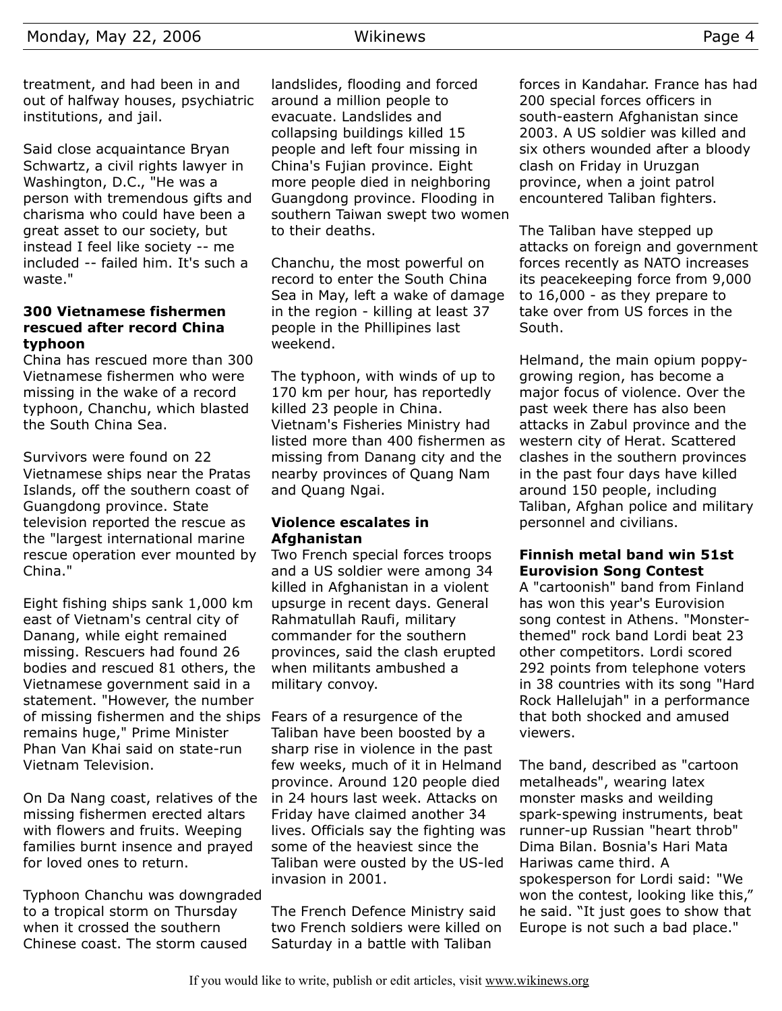treatment, and had been in and out of halfway houses, psychiatric institutions, and jail.

Said close acquaintance Bryan Schwartz, a civil rights lawyer in Washington, D.C., "He was a person with tremendous gifts and charisma who could have been a great asset to our society, but instead I feel like society -- me included -- failed him. It's such a waste."

#### **300 Vietnamese fishermen rescued after record China typhoon**

China has rescued more than 300 Vietnamese fishermen who were missing in the wake of a record typhoon, Chanchu, which blasted the South China Sea.

Survivors were found on 22 Vietnamese ships near the Pratas Islands, off the southern coast of Guangdong province. State television reported the rescue as the "largest international marine rescue operation ever mounted by China."

Eight fishing ships sank 1,000 km east of Vietnam's central city of Danang, while eight remained missing. Rescuers had found 26 bodies and rescued 81 others, the Vietnamese government said in a statement. "However, the number of missing fishermen and the ships remains huge," Prime Minister Phan Van Khai said on state-run Vietnam Television.

On Da Nang coast, relatives of the missing fishermen erected altars with flowers and fruits. Weeping families burnt insence and prayed for loved ones to return.

Typhoon Chanchu was downgraded to a tropical storm on Thursday when it crossed the southern Chinese coast. The storm caused

landslides, flooding and forced around a million people to evacuate. Landslides and collapsing buildings killed 15 people and left four missing in China's Fujian province. Eight more people died in neighboring Guangdong province. Flooding in southern Taiwan swept two women to their deaths.

Chanchu, the most powerful on record to enter the South China Sea in May, left a wake of damage in the region - killing at least 37 people in the Phillipines last weekend.

The typhoon, with winds of up to 170 km per hour, has reportedly killed 23 people in China. Vietnam's Fisheries Ministry had listed more than 400 fishermen as missing from Danang city and the nearby provinces of Quang Nam and Quang Ngai.

#### **Violence escalates in Afghanistan**

Two French special forces troops and a US soldier were among 34 killed in Afghanistan in a violent upsurge in recent days. General Rahmatullah Raufi, military commander for the southern provinces, said the clash erupted when militants ambushed a military convoy.

Fears of a resurgence of the Taliban have been boosted by a sharp rise in violence in the past few weeks, much of it in Helmand province. Around 120 people died in 24 hours last week. Attacks on Friday have claimed another 34 lives. Officials say the fighting was some of the heaviest since the Taliban were ousted by the US-led invasion in 2001.

The French Defence Ministry said two French soldiers were killed on Saturday in a battle with Taliban

forces in Kandahar. France has had 200 special forces officers in south-eastern Afghanistan since 2003. A US soldier was killed and six others wounded after a bloody clash on Friday in Uruzgan province, when a joint patrol encountered Taliban fighters.

The Taliban have stepped up attacks on foreign and government forces recently as NATO increases its peacekeeping force from 9,000 to 16,000 - as they prepare to take over from US forces in the South.

Helmand, the main opium poppygrowing region, has become a major focus of violence. Over the past week there has also been attacks in Zabul province and the western city of Herat. Scattered clashes in the southern provinces in the past four days have killed around 150 people, including Taliban, Afghan police and military personnel and civilians.

#### **Finnish metal band win 51st Eurovision Song Contest**

A "cartoonish" band from Finland has won this year's Eurovision song contest in Athens. "Monsterthemed" rock band Lordi beat 23 other competitors. Lordi scored 292 points from telephone voters in 38 countries with its song "Hard Rock Hallelujah" in a performance that both shocked and amused viewers.

The band, described as "cartoon metalheads", wearing latex monster masks and weilding spark-spewing instruments, beat runner-up Russian "heart throb" Dima Bilan. Bosnia's Hari Mata Hariwas came third. A spokesperson for Lordi said: "We won the contest, looking like this," he said. "It just goes to show that Europe is not such a bad place."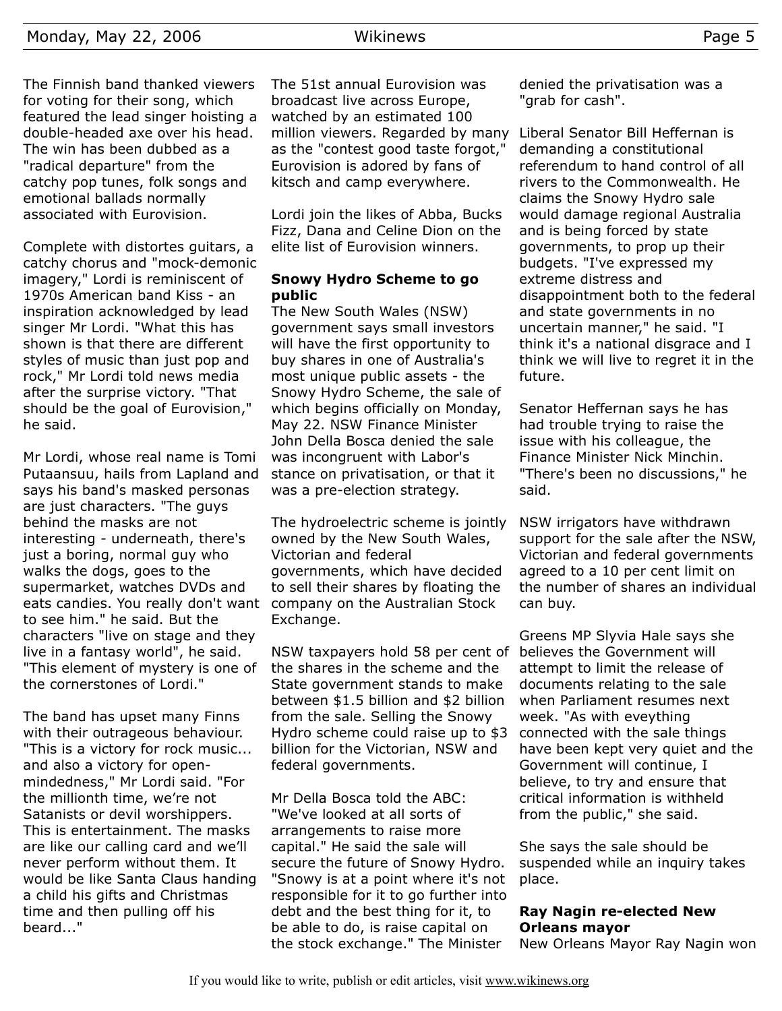The Finnish band thanked viewers for voting for their song, which featured the lead singer hoisting a double-headed axe over his head. The win has been dubbed as a "radical departure" from the catchy pop tunes, folk songs and emotional ballads normally associated with Eurovision.

Complete with distortes guitars, a catchy chorus and "mock-demonic imagery," Lordi is reminiscent of 1970s American band Kiss - an inspiration acknowledged by lead singer Mr Lordi. "What this has shown is that there are different styles of music than just pop and rock," Mr Lordi told news media after the surprise victory. "That should be the goal of Eurovision," he said.

Mr Lordi, whose real name is Tomi Putaansuu, hails from Lapland and says his band's masked personas are just characters. "The guys behind the masks are not interesting - underneath, there's just a boring, normal guy who walks the dogs, goes to the supermarket, watches DVDs and eats candies. You really don't want to see him." he said. But the characters "live on stage and they live in a fantasy world", he said. "This element of mystery is one of the cornerstones of Lordi."

The band has upset many Finns with their outrageous behaviour. "This is a victory for rock music... and also a victory for openmindedness," Mr Lordi said. "For the millionth time, we're not Satanists or devil worshippers. This is entertainment. The masks are like our calling card and we'll never perform without them. It would be like Santa Claus handing a child his gifts and Christmas time and then pulling off his beard..."

The 51st annual Eurovision was broadcast live across Europe, watched by an estimated 100 million viewers. Regarded by many as the "contest good taste forgot," Eurovision is adored by fans of kitsch and camp everywhere.

Lordi join the likes of Abba, Bucks Fizz, Dana and Celine Dion on the elite list of Eurovision winners.

## **Snowy Hydro Scheme to go public**

The New South Wales (NSW) government says small investors will have the first opportunity to buy shares in one of Australia's most unique public assets - the Snowy Hydro Scheme, the sale of which begins officially on Monday, May 22. NSW Finance Minister John Della Bosca denied the sale was incongruent with Labor's stance on privatisation, or that it was a pre-election strategy.

The hydroelectric scheme is jointly owned by the New South Wales, Victorian and federal governments, which have decided to sell their shares by floating the company on the Australian Stock Exchange.

NSW taxpayers hold 58 per cent of the shares in the scheme and the State government stands to make between \$1.5 billion and \$2 billion from the sale. Selling the Snowy Hydro scheme could raise up to \$3 billion for the Victorian, NSW and federal governments.

Mr Della Bosca told the ABC: "We've looked at all sorts of arrangements to raise more capital." He said the sale will secure the future of Snowy Hydro. "Snowy is at a point where it's not responsible for it to go further into debt and the best thing for it, to be able to do, is raise capital on the stock exchange." The Minister

denied the privatisation was a "grab for cash".

Liberal Senator Bill Heffernan is demanding a constitutional referendum to hand control of all rivers to the Commonwealth. He claims the Snowy Hydro sale would damage regional Australia and is being forced by state governments, to prop up their budgets. "I've expressed my extreme distress and disappointment both to the federal and state governments in no uncertain manner," he said. "I think it's a national disgrace and I think we will live to regret it in the future.

Senator Heffernan says he has had trouble trying to raise the issue with his colleague, the Finance Minister Nick Minchin. "There's been no discussions," he said.

NSW irrigators have withdrawn support for the sale after the NSW, Victorian and federal governments agreed to a 10 per cent limit on the number of shares an individual can buy.

Greens MP Slyvia Hale says she believes the Government will attempt to limit the release of documents relating to the sale when Parliament resumes next week. "As with eveything connected with the sale things have been kept very quiet and the Government will continue, I believe, to try and ensure that critical information is withheld from the public," she said.

She says the sale should be suspended while an inquiry takes place.

## **Ray Nagin re-elected New Orleans mayor**

New Orleans Mayor Ray Nagin won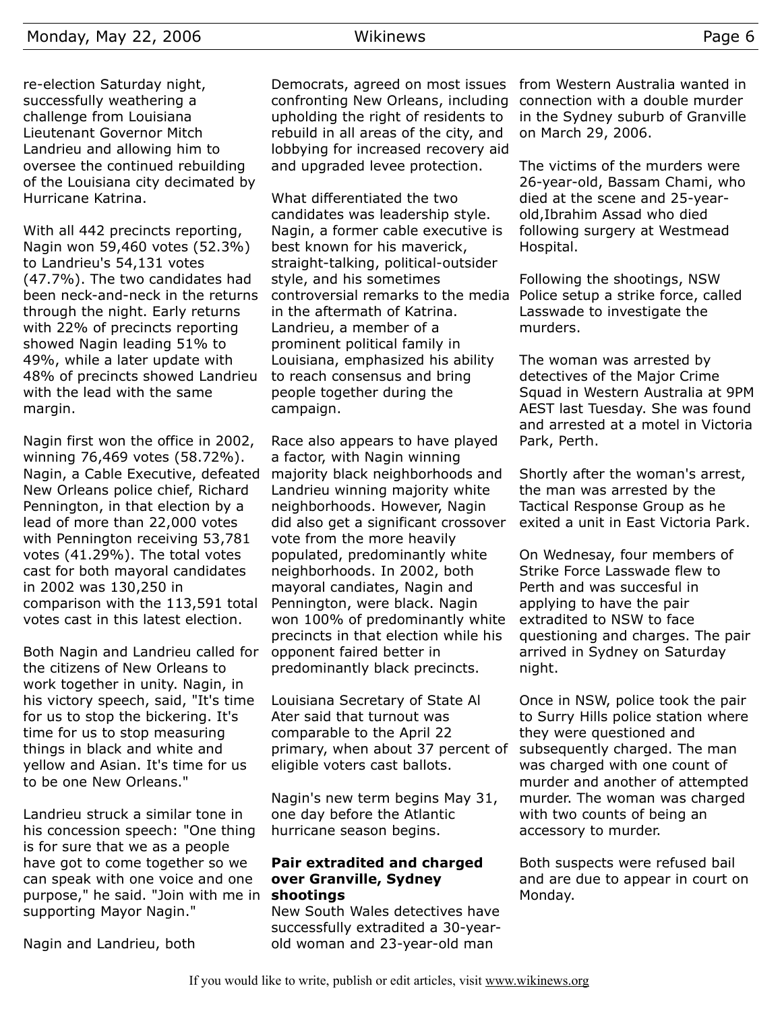re-election Saturday night, successfully weathering a challenge from Louisiana Lieutenant Governor Mitch Landrieu and allowing him to oversee the continued rebuilding of the Louisiana city decimated by Hurricane Katrina.

With all 442 precincts reporting, Nagin won 59,460 votes (52.3%) to Landrieu's 54,131 votes (47.7%). The two candidates had been neck-and-neck in the returns through the night. Early returns with 22% of precincts reporting showed Nagin leading 51% to 49%, while a later update with 48% of precincts showed Landrieu with the lead with the same margin.

Nagin first won the office in 2002, winning 76,469 votes (58.72%). Nagin, a Cable Executive, defeated New Orleans police chief, Richard Pennington, in that election by a lead of more than 22,000 votes with Pennington receiving 53,781 votes (41.29%). The total votes cast for both mayoral candidates in 2002 was 130,250 in comparison with the 113,591 total votes cast in this latest election.

Both Nagin and Landrieu called for opponent faired better in the citizens of New Orleans to work together in unity. Nagin, in his victory speech, said, "It's time for us to stop the bickering. It's time for us to stop measuring things in black and white and yellow and Asian. It's time for us to be one New Orleans."

Landrieu struck a similar tone in his concession speech: "One thing is for sure that we as a people have got to come together so we can speak with one voice and one purpose," he said. "Join with me in **shootings** supporting Mayor Nagin."

Nagin and Landrieu, both

Democrats, agreed on most issues confronting New Orleans, including upholding the right of residents to rebuild in all areas of the city, and lobbying for increased recovery aid and upgraded levee protection.

What differentiated the two candidates was leadership style. Nagin, a former cable executive is best known for his maverick, straight-talking, political-outsider style, and his sometimes controversial remarks to the media in the aftermath of Katrina. Landrieu, a member of a prominent political family in Louisiana, emphasized his ability to reach consensus and bring people together during the campaign.

Race also appears to have played a factor, with Nagin winning majority black neighborhoods and Landrieu winning majority white neighborhoods. However, Nagin did also get a significant crossover vote from the more heavily populated, predominantly white neighborhoods. In 2002, both mayoral candiates, Nagin and Pennington, were black. Nagin won 100% of predominantly white precincts in that election while his predominantly black precincts.

Louisiana Secretary of State Al Ater said that turnout was comparable to the April 22 primary, when about 37 percent of eligible voters cast ballots.

Nagin's new term begins May 31, one day before the Atlantic hurricane season begins.

## **Pair extradited and charged over Granville, Sydney**

New South Wales detectives have successfully extradited a 30-yearold woman and 23-year-old man

from Western Australia wanted in connection with a double murder in the Sydney suburb of Granville on March 29, 2006.

The victims of the murders were 26-year-old, Bassam Chami, who died at the scene and 25-yearold,Ibrahim Assad who died following surgery at Westmead Hospital.

Following the shootings, NSW Police setup a strike force, called Lasswade to investigate the murders.

The woman was arrested by detectives of the Major Crime Squad in Western Australia at 9PM AEST last Tuesday. She was found and arrested at a motel in Victoria Park, Perth.

Shortly after the woman's arrest, the man was arrested by the Tactical Response Group as he exited a unit in East Victoria Park.

On Wednesay, four members of Strike Force Lasswade flew to Perth and was succesful in applying to have the pair extradited to NSW to face questioning and charges. The pair arrived in Sydney on Saturday night.

Once in NSW, police took the pair to Surry Hills police station where they were questioned and subsequently charged. The man was charged with one count of murder and another of attempted murder. The woman was charged with two counts of being an accessory to murder.

Both suspects were refused bail and are due to appear in court on Monday.